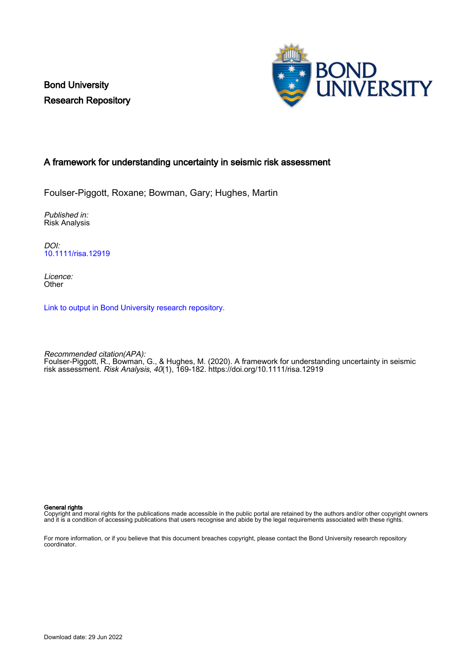Bond University Research Repository



# A framework for understanding uncertainty in seismic risk assessment

Foulser-Piggott, Roxane; Bowman, Gary; Hughes, Martin

Published in: Risk Analysis

DOI: [10.1111/risa.12919](https://doi.org/10.1111/risa.12919)

Licence: **Other** 

[Link to output in Bond University research repository.](https://research.bond.edu.au/en/publications/ba03631c-877f-466a-b1d7-f5a29062e6b4)

Recommended citation(APA): Foulser-Piggott, R., Bowman, G., & Hughes, M. (2020). A framework for understanding uncertainty in seismic risk assessment. Risk Analysis, 40(1), 169-182.<https://doi.org/10.1111/risa.12919>

General rights

Copyright and moral rights for the publications made accessible in the public portal are retained by the authors and/or other copyright owners and it is a condition of accessing publications that users recognise and abide by the legal requirements associated with these rights.

For more information, or if you believe that this document breaches copyright, please contact the Bond University research repository coordinator.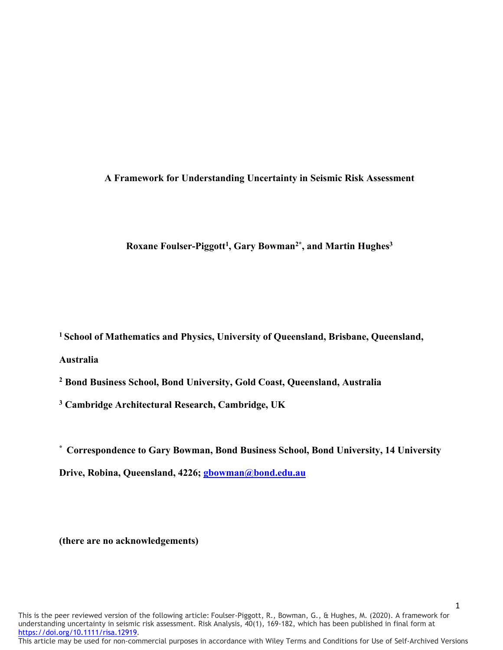## **A Framework for Understanding Uncertainty in Seismic Risk Assessment**

# Roxane Foulser-Piggott<sup>1</sup>, Gary Bowman<sup>2\*</sup>, and Martin Hughes<sup>3</sup>

**1 School of Mathematics and Physics, University of Queensland, Brisbane, Queensland, Australia**

**<sup>2</sup> Bond Business School, Bond University, Gold Coast, Queensland, Australia**

**<sup>3</sup> Cambridge Architectural Research, Cambridge, UK**

**\* Correspondence to Gary Bowman, Bond Business School, Bond University, 14 University** 

**Drive, Robina, Queensland, 4226; [gbowman@bond.edu.au](mailto:gbowman@bond.edu.au)**

**(there are no acknowledgements)**

This is the peer reviewed version of the following article: Foulser-Piggott, R., Bowman, G., & Hughes, M. (2020). A framework for understanding uncertainty in seismic risk assessment. Risk Analysis, 40(1), 169-182, which has been published in final form at [https://doi.org/10.1111/risa.12919.](https://doi.org/10.1111/risa.12919)

This article may be used for non-commercial purposes in accordance with Wiley Terms and Conditions for Use of Self-Archived Versions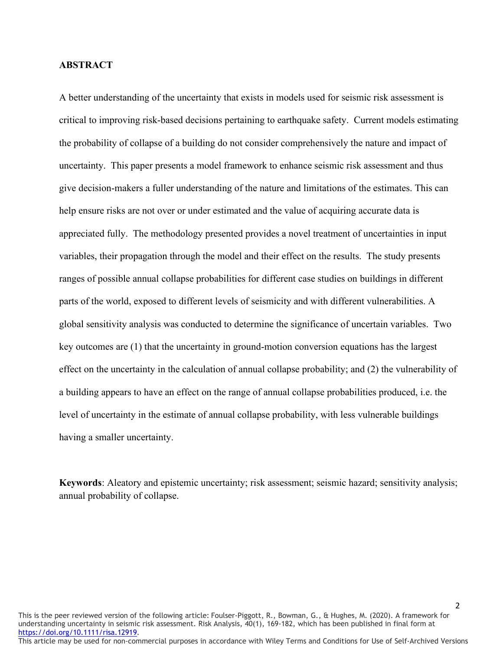### **ABSTRACT**

A better understanding of the uncertainty that exists in models used for seismic risk assessment is critical to improving risk-based decisions pertaining to earthquake safety. Current models estimating the probability of collapse of a building do not consider comprehensively the nature and impact of uncertainty. This paper presents a model framework to enhance seismic risk assessment and thus give decision-makers a fuller understanding of the nature and limitations of the estimates. This can help ensure risks are not over or under estimated and the value of acquiring accurate data is appreciated fully. The methodology presented provides a novel treatment of uncertainties in input variables, their propagation through the model and their effect on the results. The study presents ranges of possible annual collapse probabilities for different case studies on buildings in different parts of the world, exposed to different levels of seismicity and with different vulnerabilities. A global sensitivity analysis was conducted to determine the significance of uncertain variables. Two key outcomes are (1) that the uncertainty in ground-motion conversion equations has the largest effect on the uncertainty in the calculation of annual collapse probability; and (2) the vulnerability of a building appears to have an effect on the range of annual collapse probabilities produced, i.e. the level of uncertainty in the estimate of annual collapse probability, with less vulnerable buildings having a smaller uncertainty.

**Keywords**: Aleatory and epistemic uncertainty; risk assessment; seismic hazard; sensitivity analysis; annual probability of collapse.

This is the peer reviewed version of the following article: Foulser-Piggott, R., Bowman, G., & Hughes, M. (2020). A framework for understanding uncertainty in seismic risk assessment. Risk Analysis, 40(1), 169-182, which has been published in final form at [https://doi.org/10.1111/risa.12919.](https://doi.org/10.1111/risa.12919)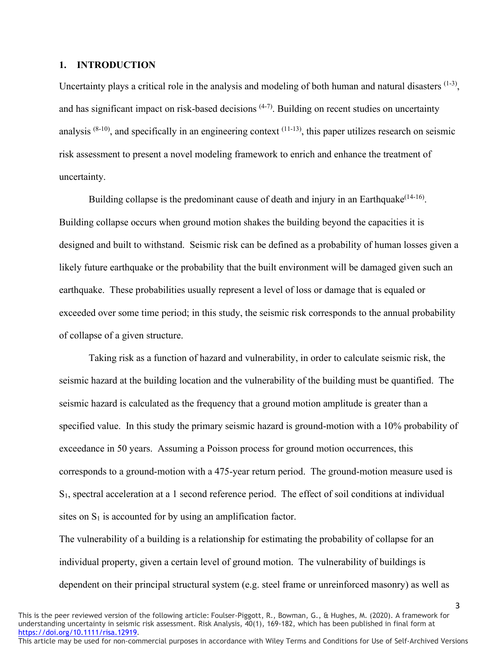#### **1. INTRODUCTION**

Uncertainty plays a critical role in the analysis and modeling of both human and natural disasters  $(1-3)$ . and has significant impact on risk-based decisions  $(4-7)$ . Building on recent studies on uncertainty analysis  $(8-10)$ , and specifically in an engineering context  $(11-13)$ , this paper utilizes research on seismic risk assessment to present a novel modeling framework to enrich and enhance the treatment of uncertainty.

Building collapse is the predominant cause of death and injury in an Earthquake<sup>(14-16)</sup>. Building collapse occurs when ground motion shakes the building beyond the capacities it is designed and built to withstand. Seismic risk can be defined as a probability of human losses given a likely future earthquake or the probability that the built environment will be damaged given such an earthquake. These probabilities usually represent a level of loss or damage that is equaled or exceeded over some time period; in this study, the seismic risk corresponds to the annual probability of collapse of a given structure.

Taking risk as a function of hazard and vulnerability, in order to calculate seismic risk, the seismic hazard at the building location and the vulnerability of the building must be quantified. The seismic hazard is calculated as the frequency that a ground motion amplitude is greater than a specified value. In this study the primary seismic hazard is ground-motion with a 10% probability of exceedance in 50 years. Assuming a Poisson process for ground motion occurrences, this corresponds to a ground-motion with a 475-year return period. The ground-motion measure used is S1, spectral acceleration at a 1 second reference period. The effect of soil conditions at individual sites on  $S_1$  is accounted for by using an amplification factor.

The vulnerability of a building is a relationship for estimating the probability of collapse for an individual property, given a certain level of ground motion. The vulnerability of buildings is dependent on their principal structural system (e.g. steel frame or unreinforced masonry) as well as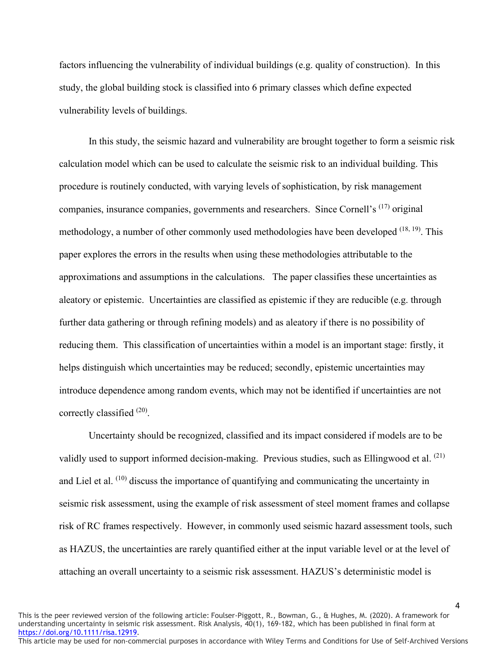factors influencing the vulnerability of individual buildings (e.g. quality of construction). In this study, the global building stock is classified into 6 primary classes which define expected vulnerability levels of buildings.

In this study, the seismic hazard and vulnerability are brought together to form a seismic risk calculation model which can be used to calculate the seismic risk to an individual building. This procedure is routinely conducted, with varying levels of sophistication, by risk management companies, insurance companies, governments and researchers. Since Cornell's (17) original methodology, a number of other commonly used methodologies have been developed  $(18, 19)$ . This paper explores the errors in the results when using these methodologies attributable to the approximations and assumptions in the calculations. The paper classifies these uncertainties as aleatory or epistemic. Uncertainties are classified as epistemic if they are reducible (e.g. through further data gathering or through refining models) and as aleatory if there is no possibility of reducing them. This classification of uncertainties within a model is an important stage: firstly, it helps distinguish which uncertainties may be reduced; secondly, epistemic uncertainties may introduce dependence among random events, which may not be identified if uncertainties are not correctly classified <sup>(20)</sup>.

Uncertainty should be recognized, classified and its impact considered if models are to be validly used to support informed decision-making. Previous studies, such as Ellingwood et al. (21) and Liel et al. <sup>(10)</sup> discuss the importance of quantifying and communicating the uncertainty in seismic risk assessment, using the example of risk assessment of steel moment frames and collapse risk of RC frames respectively. However, in commonly used seismic hazard assessment tools, such as HAZUS, the uncertainties are rarely quantified either at the input variable level or at the level of attaching an overall uncertainty to a seismic risk assessment. HAZUS's deterministic model is

This is the peer reviewed version of the following article: Foulser-Piggott, R., Bowman, G., & Hughes, M. (2020). A framework for understanding uncertainty in seismic risk assessment. Risk Analysis, 40(1), 169-182, which has been published in final form at [https://doi.org/10.1111/risa.12919.](https://doi.org/10.1111/risa.12919)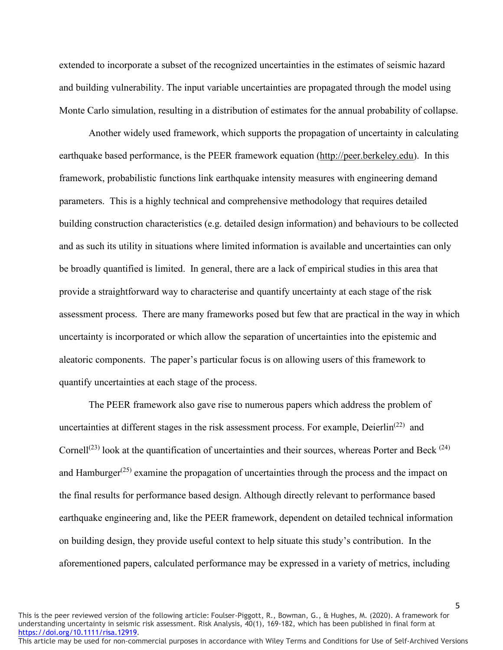extended to incorporate a subset of the recognized uncertainties in the estimates of seismic hazard and building vulnerability. The input variable uncertainties are propagated through the model using Monte Carlo simulation, resulting in a distribution of estimates for the annual probability of collapse.

Another widely used framework, which supports the propagation of uncertainty in calculating earthquake based performance, is the PEER framework equation [\(http://peer.berkeley.edu\)](http://peer.berkeley.edu/). In this framework, probabilistic functions link earthquake intensity measures with engineering demand parameters. This is a highly technical and comprehensive methodology that requires detailed building construction characteristics (e.g. detailed design information) and behaviours to be collected and as such its utility in situations where limited information is available and uncertainties can only be broadly quantified is limited. In general, there are a lack of empirical studies in this area that provide a straightforward way to characterise and quantify uncertainty at each stage of the risk assessment process. There are many frameworks posed but few that are practical in the way in which uncertainty is incorporated or which allow the separation of uncertainties into the epistemic and aleatoric components. The paper's particular focus is on allowing users of this framework to quantify uncertainties at each stage of the process.

The PEER framework also gave rise to numerous papers which address the problem of uncertainties at different stages in the risk assessment process. For example, Deierlin<sup> $(22)$ </sup> and Cornell<sup>(23)</sup> look at the quantification of uncertainties and their sources, whereas Porter and Beck <sup>(24)</sup> and Hamburger<sup> $(25)$ </sup> examine the propagation of uncertainties through the process and the impact on the final results for performance based design. Although directly relevant to performance based earthquake engineering and, like the PEER framework, dependent on detailed technical information on building design, they provide useful context to help situate this study's contribution. In the aforementioned papers, calculated performance may be expressed in a variety of metrics, including

This is the peer reviewed version of the following article: Foulser-Piggott, R., Bowman, G., & Hughes, M. (2020). A framework for understanding uncertainty in seismic risk assessment. Risk Analysis, 40(1), 169-182, which has been published in final form at [https://doi.org/10.1111/risa.12919.](https://doi.org/10.1111/risa.12919)

This article may be used for non-commercial purposes in accordance with Wiley Terms and Conditions for Use of Self-Archived Versions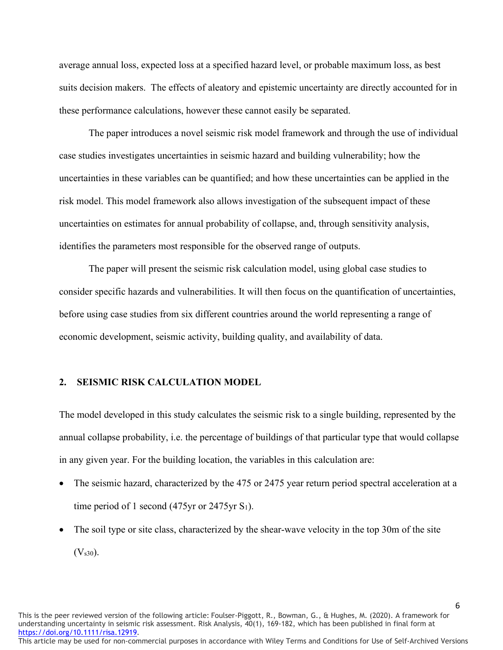average annual loss, expected loss at a specified hazard level, or probable maximum loss, as best suits decision makers. The effects of aleatory and epistemic uncertainty are directly accounted for in these performance calculations, however these cannot easily be separated.

The paper introduces a novel seismic risk model framework and through the use of individual case studies investigates uncertainties in seismic hazard and building vulnerability; how the uncertainties in these variables can be quantified; and how these uncertainties can be applied in the risk model. This model framework also allows investigation of the subsequent impact of these uncertainties on estimates for annual probability of collapse, and, through sensitivity analysis, identifies the parameters most responsible for the observed range of outputs.

The paper will present the seismic risk calculation model, using global case studies to consider specific hazards and vulnerabilities. It will then focus on the quantification of uncertainties, before using case studies from six different countries around the world representing a range of economic development, seismic activity, building quality, and availability of data.

### **2. SEISMIC RISK CALCULATION MODEL**

The model developed in this study calculates the seismic risk to a single building, represented by the annual collapse probability, i.e. the percentage of buildings of that particular type that would collapse in any given year. For the building location, the variables in this calculation are:

- The seismic hazard, characterized by the 475 or 2475 year return period spectral acceleration at a time period of 1 second (475yr or 2475yr  $S_1$ ).
- The soil type or site class, characterized by the shear-wave velocity in the top 30m of the site  $(V<sub>s30</sub>)$ .

This is the peer reviewed version of the following article: Foulser-Piggott, R., Bowman, G., & Hughes, M. (2020). A framework for understanding uncertainty in seismic risk assessment. Risk Analysis, 40(1), 169-182, which has been published in final form at [https://doi.org/10.1111/risa.12919.](https://doi.org/10.1111/risa.12919)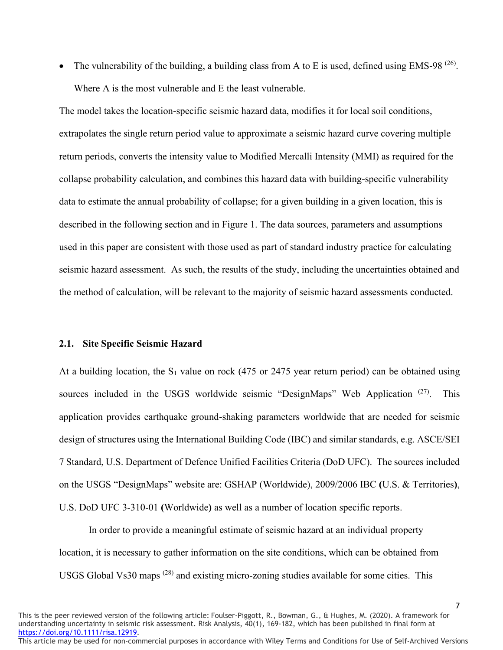• The vulnerability of the building, a building class from A to E is used, defined using EMS-98<sup> $(26)$ </sup>. Where A is the most vulnerable and E the least vulnerable.

The model takes the location-specific seismic hazard data, modifies it for local soil conditions, extrapolates the single return period value to approximate a seismic hazard curve covering multiple return periods, converts the intensity value to Modified Mercalli Intensity (MMI) as required for the collapse probability calculation, and combines this hazard data with building-specific vulnerability data to estimate the annual probability of collapse; for a given building in a given location, this is described in the following section and in Figure 1. The data sources, parameters and assumptions used in this paper are consistent with those used as part of standard industry practice for calculating seismic hazard assessment. As such, the results of the study, including the uncertainties obtained and the method of calculation, will be relevant to the majority of seismic hazard assessments conducted.

#### **2.1. Site Specific Seismic Hazard**

At a building location, the  $S_1$  value on rock (475 or 2475 year return period) can be obtained using sources included in the USGS worldwide seismic "DesignMaps" Web Application  $(27)$ . This application provides earthquake ground-shaking parameters worldwide that are needed for seismic design of structures using the International Building Code (IBC) and similar standards, e.g. ASCE/SEI 7 Standard, U.S. Department of Defence Unified Facilities Criteria (DoD UFC). The sources included on the USGS "DesignMaps" website are: GSHAP (Worldwide), 2009/2006 IBC **(**U.S. & Territories**)**, U.S. DoD UFC 3-310-01 **(**Worldwide**)** as well as a number of location specific reports.

In order to provide a meaningful estimate of seismic hazard at an individual property location, it is necessary to gather information on the site conditions, which can be obtained from USGS Global Vs30 maps (28) and existing micro-zoning studies available for some cities. This

7

This is the peer reviewed version of the following article: Foulser-Piggott, R., Bowman, G., & Hughes, M. (2020). A framework for understanding uncertainty in seismic risk assessment. Risk Analysis, 40(1), 169-182, which has been published in final form at [https://doi.org/10.1111/risa.12919.](https://doi.org/10.1111/risa.12919)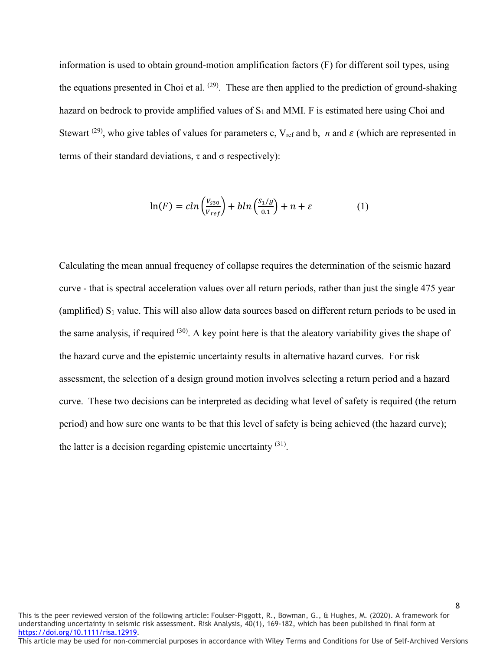information is used to obtain ground-motion amplification factors (F) for different soil types, using the equations presented in Choi et al.  $(29)$ . These are then applied to the prediction of ground-shaking hazard on bedrock to provide amplified values of  $S_1$  and MMI. F is estimated here using Choi and Stewart <sup>(29)</sup>, who give tables of values for parameters c,  $V_{ref}$  and b, *n* and  $\varepsilon$  (which are represented in terms of their standard deviations,  $τ$  and  $σ$  respectively):

$$
\ln(F) = c \ln\left(\frac{V_{s30}}{V_{ref}}\right) + b \ln\left(\frac{S_1/g}{0.1}\right) + n + \varepsilon \tag{1}
$$

Calculating the mean annual frequency of collapse requires the determination of the seismic hazard curve - that is spectral acceleration values over all return periods, rather than just the single 475 year (amplified)  $S_1$  value. This will also allow data sources based on different return periods to be used in the same analysis, if required  $(30)$ . A key point here is that the aleatory variability gives the shape of the hazard curve and the epistemic uncertainty results in alternative hazard curves. For risk assessment, the selection of a design ground motion involves selecting a return period and a hazard curve. These two decisions can be interpreted as deciding what level of safety is required (the return period) and how sure one wants to be that this level of safety is being achieved (the hazard curve); the latter is a decision regarding epistemic uncertainty  $(31)$ .

This is the peer reviewed version of the following article: Foulser-Piggott, R., Bowman, G., & Hughes, M. (2020). A framework for understanding uncertainty in seismic risk assessment. Risk Analysis, 40(1), 169-182, which has been published in final form at [https://doi.org/10.1111/risa.12919.](https://doi.org/10.1111/risa.12919) This article may be used for non-commercial purposes in accordance with Wiley Terms and Conditions for Use of Self-Archived Versions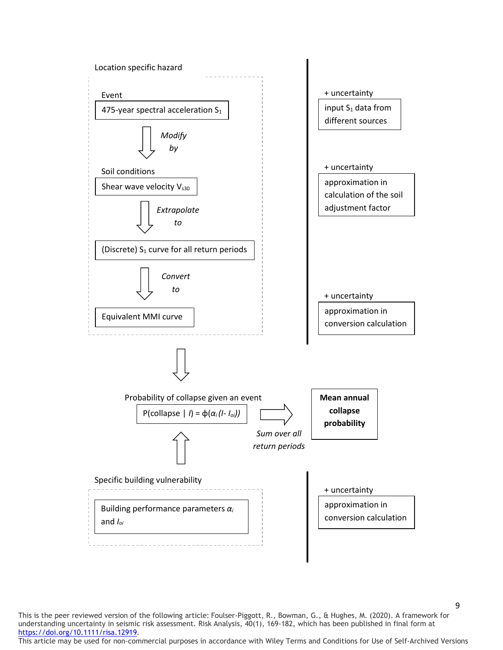

This is the peer reviewed version of the following article: Foulser-Piggott, R., Bowman, G., & Hughes, M. (2020). A framework for understanding uncertainty in seismic risk assessment. Risk Analysis, 40(1), 169-182, which has been published in final form at [https://doi.org/10.1111/risa.12919.](https://doi.org/10.1111/risa.12919)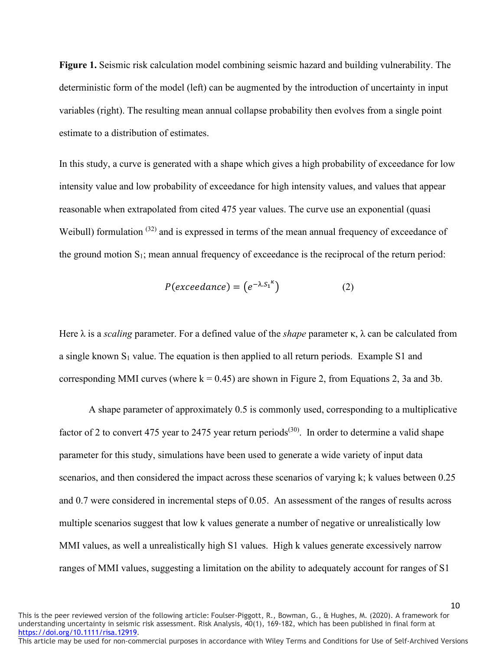**Figure 1.** Seismic risk calculation model combining seismic hazard and building vulnerability. The deterministic form of the model (left) can be augmented by the introduction of uncertainty in input variables (right). The resulting mean annual collapse probability then evolves from a single point estimate to a distribution of estimates.

In this study, a curve is generated with a shape which gives a high probability of exceedance for low intensity value and low probability of exceedance for high intensity values, and values that appear reasonable when extrapolated from cited 475 year values. The curve use an exponential (quasi Weibull) formulation <sup>(32)</sup> and is expressed in terms of the mean annual frequency of exceedance of the ground motion  $S_1$ ; mean annual frequency of exceedance is the reciprocal of the return period:

$$
P(exceedance) = (e^{-\lambda S_1}^{\kappa})
$$
 (2)

Here λ is a *scaling* parameter. For a defined value of the *shape* parameter κ, λ can be calculated from a single known  $S_1$  value. The equation is then applied to all return periods. Example S1 and corresponding MMI curves (where  $k = 0.45$ ) are shown in Figure 2, from Equations 2, 3a and 3b.

A shape parameter of approximately 0.5 is commonly used, corresponding to a multiplicative factor of 2 to convert 475 year to 2475 year return periods<sup>(30)</sup>. In order to determine a valid shape parameter for this study, simulations have been used to generate a wide variety of input data scenarios, and then considered the impact across these scenarios of varying k; k values between 0.25 and 0.7 were considered in incremental steps of 0.05. An assessment of the ranges of results across multiple scenarios suggest that low k values generate a number of negative or unrealistically low MMI values, as well a unrealistically high S1 values. High k values generate excessively narrow ranges of MMI values, suggesting a limitation on the ability to adequately account for ranges of S1

This is the peer reviewed version of the following article: Foulser-Piggott, R., Bowman, G., & Hughes, M. (2020). A framework for understanding uncertainty in seismic risk assessment. Risk Analysis, 40(1), 169-182, which has been published in final form at [https://doi.org/10.1111/risa.12919.](https://doi.org/10.1111/risa.12919)

This article may be used for non-commercial purposes in accordance with Wiley Terms and Conditions for Use of Self-Archived Versions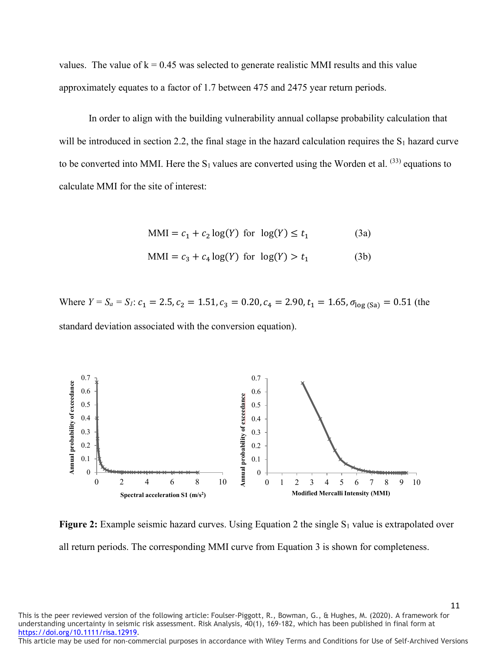values. The value of  $k = 0.45$  was selected to generate realistic MMI results and this value approximately equates to a factor of 1.7 between 475 and 2475 year return periods.

In order to align with the building vulnerability annual collapse probability calculation that will be introduced in section 2.2, the final stage in the hazard calculation requires the  $S_1$  hazard curve to be converted into MMI. Here the  $S_1$  values are converted using the Worden et al.  $^{(33)}$  equations to calculate MMI for the site of interest:

$$
MMI = c_1 + c_2 \log(Y) \text{ for } \log(Y) \le t_1 \tag{3a}
$$

$$
MMI = c_3 + c_4 \log(Y) \text{ for } \log(Y) > t_1 \tag{3b}
$$

Where  $Y = S_a = S_l$ :  $c_1 = 2.5$ ,  $c_2 = 1.51$ ,  $c_3 = 0.20$ ,  $c_4 = 2.90$ ,  $t_1 = 1.65$ ,  $\sigma_{\text{log(Sa)}} = 0.51$  (the standard deviation associated with the conversion equation).



**Figure 2:** Example seismic hazard curves. Using Equation 2 the single S<sub>1</sub> value is extrapolated over all return periods. The corresponding MMI curve from Equation 3 is shown for completeness.

This is the peer reviewed version of the following article: Foulser-Piggott, R., Bowman, G., & Hughes, M. (2020). A framework for understanding uncertainty in seismic risk assessment. Risk Analysis, 40(1), 169-182, which has been published in final form at [https://doi.org/10.1111/risa.12919.](https://doi.org/10.1111/risa.12919)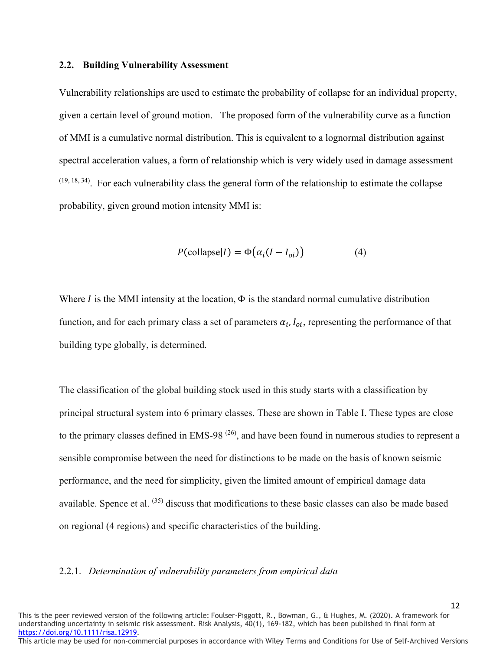#### **2.2. Building Vulnerability Assessment**

Vulnerability relationships are used to estimate the probability of collapse for an individual property, given a certain level of ground motion. The proposed form of the vulnerability curve as a function of MMI is a cumulative normal distribution. This is equivalent to a lognormal distribution against spectral acceleration values, a form of relationship which is very widely used in damage assessment  $(19, 18, 34)$ . For each vulnerability class the general form of the relationship to estimate the collapse probability, given ground motion intensity MMI is:

$$
P(\text{collapse}|I) = \Phi(\alpha_i(I - I_{oi}))
$$
\n(4)

Where  $\vec{l}$  is the MMI intensity at the location,  $\Phi$  is the standard normal cumulative distribution function, and for each primary class a set of parameters  $\alpha_i, I_{oi}$ , representing the performance of that building type globally, is determined.

The classification of the global building stock used in this study starts with a classification by principal structural system into 6 primary classes. These are shown in Table I. These types are close to the primary classes defined in EMS-98<sup> $(26)$ </sup>, and have been found in numerous studies to represent a sensible compromise between the need for distinctions to be made on the basis of known seismic performance, and the need for simplicity, given the limited amount of empirical damage data available. Spence et al. <sup>(35)</sup> discuss that modifications to these basic classes can also be made based on regional (4 regions) and specific characteristics of the building.

#### 2.2.1. *Determination of vulnerability parameters from empirical data*

This is the peer reviewed version of the following article: Foulser-Piggott, R., Bowman, G., & Hughes, M. (2020). A framework for understanding uncertainty in seismic risk assessment. Risk Analysis, 40(1), 169-182, which has been published in final form at [https://doi.org/10.1111/risa.12919.](https://doi.org/10.1111/risa.12919)

This article may be used for non-commercial purposes in accordance with Wiley Terms and Conditions for Use of Self-Archived Versions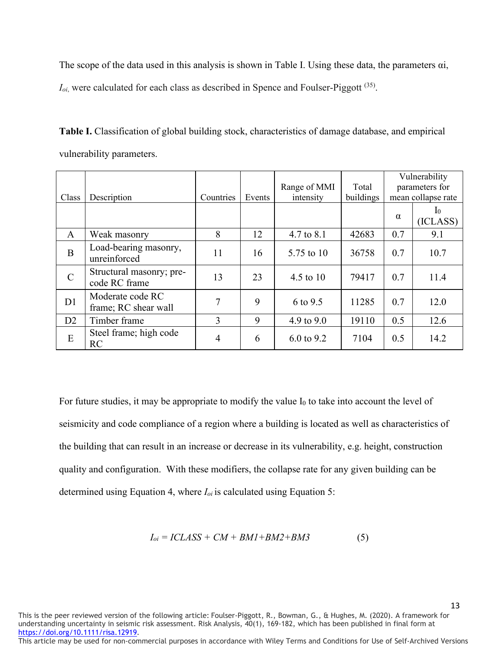The scope of the data used in this analysis is shown in Table I. Using these data, the parameters αi,

 $I_{oi}$ , were calculated for each class as described in Spence and Foulser-Piggott  $(35)$ .

**Table I.** Classification of global building stock, characteristics of damage database, and empirical vulnerability parameters.

|                |                                           |           |        |              |           | Vulnerability      |                              |
|----------------|-------------------------------------------|-----------|--------|--------------|-----------|--------------------|------------------------------|
|                |                                           |           |        | Range of MMI | Total     | parameters for     |                              |
| Class          | Description                               | Countries | Events | intensity    | buildings | mean collapse rate |                              |
|                |                                           |           |        |              |           | $\alpha$           | 10 <sup>10</sup><br>(ICLASS) |
| A              | Weak masonry                              | 8         | 12     | 4.7 to 8.1   | 42683     | 0.7                | 9.1                          |
| B              | Load-bearing masonry,<br>unreinforced     | 11        | 16     | 5.75 to 10   | 36758     | 0.7                | 10.7                         |
| $\mathcal{C}$  | Structural masonry; pre-<br>code RC frame | 13        | 23     | 4.5 to $10$  | 79417     | 0.7                | 11.4                         |
| D <sub>1</sub> | Moderate code RC<br>frame; RC shear wall  | 7         | 9      | 6 to 9.5     | 11285     | 0.7                | 12.0                         |
| D2             | Timber frame                              | 3         | 9      | 4.9 to 9.0   | 19110     | 0.5                | 12.6                         |
| E              | Steel frame; high code<br>RC              | 4         | 6      | 6.0 to 9.2   | 7104      | 0.5                | 14.2                         |

For future studies, it may be appropriate to modify the value  $I_0$  to take into account the level of seismicity and code compliance of a region where a building is located as well as characteristics of the building that can result in an increase or decrease in its vulnerability, e.g. height, construction quality and configuration. With these modifiers, the collapse rate for any given building can be determined using Equation 4, where *Ioi* is calculated using Equation 5:

$$
I_{oi} = ICLASS + CM + BMI + BM2 + BM3 \tag{5}
$$

This is the peer reviewed version of the following article: Foulser-Piggott, R., Bowman, G., & Hughes, M. (2020). A framework for understanding uncertainty in seismic risk assessment. Risk Analysis, 40(1), 169-182, which has been published in final form at [https://doi.org/10.1111/risa.12919.](https://doi.org/10.1111/risa.12919)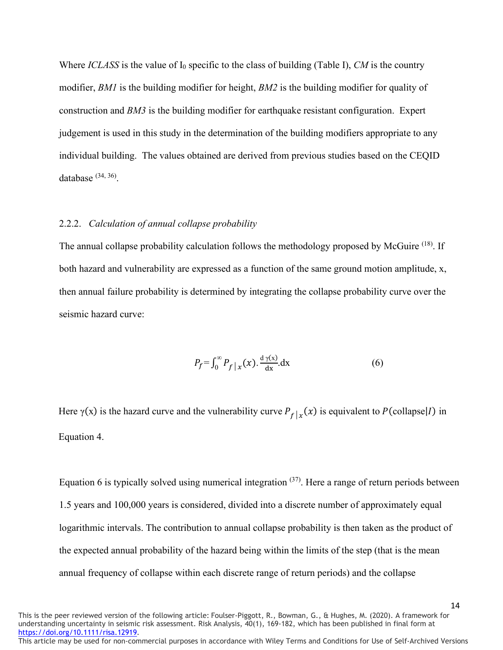Where *ICLASS* is the value of  $I_0$  specific to the class of building (Table I), *CM* is the country modifier, *BM1* is the building modifier for height, *BM2* is the building modifier for quality of construction and *BM3* is the building modifier for earthquake resistant configuration. Expert judgement is used in this study in the determination of the building modifiers appropriate to any individual building. The values obtained are derived from previous studies based on the CEQID database  $(34, 36)$ .

#### 2.2.2. *Calculation of annual collapse probability*

The annual collapse probability calculation follows the methodology proposed by McGuire <sup>(18)</sup>. If both hazard and vulnerability are expressed as a function of the same ground motion amplitude, x, then annual failure probability is determined by integrating the collapse probability curve over the seismic hazard curve:

$$
P_f = \int_0^\infty P_f \, |x(x) \cdot \frac{d \gamma(x)}{dx} dx \tag{6}
$$

Here  $\gamma(x)$  is the hazard curve and the vulnerability curve  $P_{f|x}(x)$  is equivalent to  $P(\text{collapse}|I)$  in Equation 4.

Equation 6 is typically solved using numerical integration  $(37)$ . Here a range of return periods between 1.5 years and 100,000 years is considered, divided into a discrete number of approximately equal logarithmic intervals. The contribution to annual collapse probability is then taken as the product of the expected annual probability of the hazard being within the limits of the step (that is the mean annual frequency of collapse within each discrete range of return periods) and the collapse

14

This is the peer reviewed version of the following article: Foulser-Piggott, R., Bowman, G., & Hughes, M. (2020). A framework for understanding uncertainty in seismic risk assessment. Risk Analysis, 40(1), 169-182, which has been published in final form at [https://doi.org/10.1111/risa.12919.](https://doi.org/10.1111/risa.12919)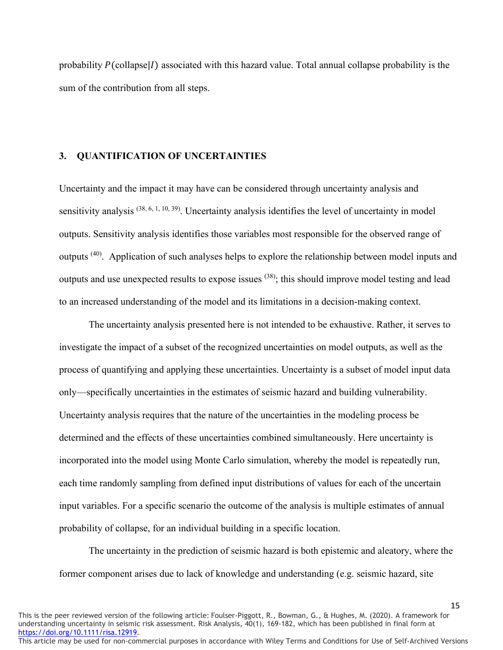probability  $P(\text{collapse}|I)$  associated with this hazard value. Total annual collapse probability is the sum of the contribution from all steps.

#### **3. QUANTIFICATION OF UNCERTAINTIES**

Uncertainty and the impact it may have can be considered through uncertainty analysis and sensitivity analysis (38, 6, 1, 10, 39). Uncertainty analysis identifies the level of uncertainty in model outputs. Sensitivity analysis identifies those variables most responsible for the observed range of outputs (40). Application of such analyses helps to explore the relationship between model inputs and outputs and use unexpected results to expose issues  $(38)$ ; this should improve model testing and lead to an increased understanding of the model and its limitations in a decision-making context.

The uncertainty analysis presented here is not intended to be exhaustive. Rather, it serves to investigate the impact of a subset of the recognized uncertainties on model outputs, as well as the process of quantifying and applying these uncertainties. Uncertainty is a subset of model input data only—specifically uncertainties in the estimates of seismic hazard and building vulnerability. Uncertainty analysis requires that the nature of the uncertainties in the modeling process be determined and the effects of these uncertainties combined simultaneously. Here uncertainty is incorporated into the model using Monte Carlo simulation, whereby the model is repeatedly run, each time randomly sampling from defined input distributions of values for each of the uncertain input variables. For a specific scenario the outcome of the analysis is multiple estimates of annual probability of collapse, for an individual building in a specific location.

The uncertainty in the prediction of seismic hazard is both epistemic and aleatory, where the former component arises due to lack of knowledge and understanding (e.g. seismic hazard, site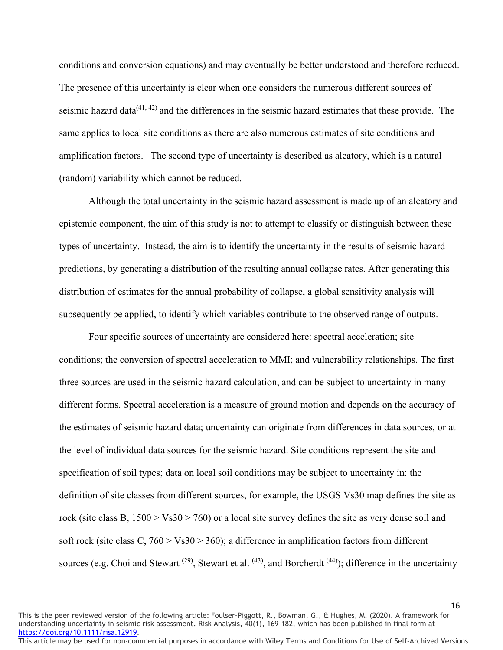conditions and conversion equations) and may eventually be better understood and therefore reduced. The presence of this uncertainty is clear when one considers the numerous different sources of seismic hazard data $(41, 42)$  and the differences in the seismic hazard estimates that these provide. The same applies to local site conditions as there are also numerous estimates of site conditions and amplification factors. The second type of uncertainty is described as aleatory, which is a natural (random) variability which cannot be reduced.

Although the total uncertainty in the seismic hazard assessment is made up of an aleatory and epistemic component, the aim of this study is not to attempt to classify or distinguish between these types of uncertainty. Instead, the aim is to identify the uncertainty in the results of seismic hazard predictions, by generating a distribution of the resulting annual collapse rates. After generating this distribution of estimates for the annual probability of collapse, a global sensitivity analysis will subsequently be applied, to identify which variables contribute to the observed range of outputs.

Four specific sources of uncertainty are considered here: spectral acceleration; site conditions; the conversion of spectral acceleration to MMI; and vulnerability relationships. The first three sources are used in the seismic hazard calculation, and can be subject to uncertainty in many different forms. Spectral acceleration is a measure of ground motion and depends on the accuracy of the estimates of seismic hazard data; uncertainty can originate from differences in data sources, or at the level of individual data sources for the seismic hazard. Site conditions represent the site and specification of soil types; data on local soil conditions may be subject to uncertainty in: the definition of site classes from different sources, for example, the USGS Vs30 map defines the site as rock (site class B,  $1500 > \text{Vs}30 > 760$ ) or a local site survey defines the site as very dense soil and soft rock (site class C,  $760 > \text{Vs}30 > 360$ ); a difference in amplification factors from different sources (e.g. Choi and Stewart  $(29)$ , Stewart et al.  $(43)$ , and Borcherdt  $(44)$ ); difference in the uncertainty

This is the peer reviewed version of the following article: Foulser-Piggott, R., Bowman, G., & Hughes, M. (2020). A framework for understanding uncertainty in seismic risk assessment. Risk Analysis, 40(1), 169-182, which has been published in final form at [https://doi.org/10.1111/risa.12919.](https://doi.org/10.1111/risa.12919)

This article may be used for non-commercial purposes in accordance with Wiley Terms and Conditions for Use of Self-Archived Versions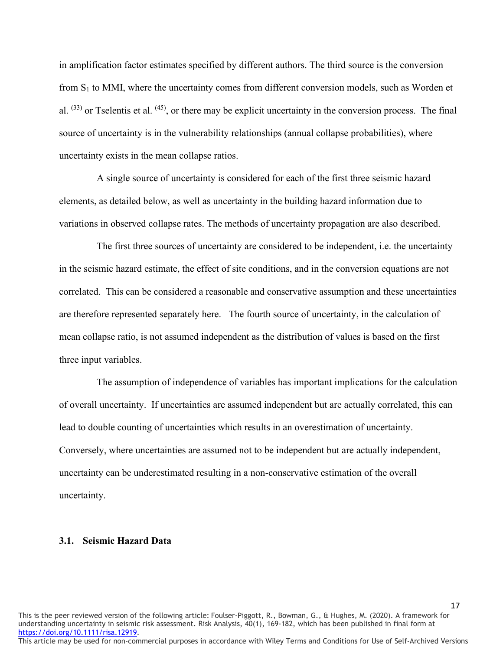in amplification factor estimates specified by different authors. The third source is the conversion from  $S_1$  to MMI, where the uncertainty comes from different conversion models, such as Worden et al. (33) or Tselentis et al. (45), or there may be explicit uncertainty in the conversion process. The final source of uncertainty is in the vulnerability relationships (annual collapse probabilities), where uncertainty exists in the mean collapse ratios.

A single source of uncertainty is considered for each of the first three seismic hazard elements, as detailed below, as well as uncertainty in the building hazard information due to variations in observed collapse rates. The methods of uncertainty propagation are also described.

The first three sources of uncertainty are considered to be independent, i.e. the uncertainty in the seismic hazard estimate, the effect of site conditions, and in the conversion equations are not correlated. This can be considered a reasonable and conservative assumption and these uncertainties are therefore represented separately here. The fourth source of uncertainty, in the calculation of mean collapse ratio, is not assumed independent as the distribution of values is based on the first three input variables.

The assumption of independence of variables has important implications for the calculation of overall uncertainty. If uncertainties are assumed independent but are actually correlated, this can lead to double counting of uncertainties which results in an overestimation of uncertainty. Conversely, where uncertainties are assumed not to be independent but are actually independent, uncertainty can be underestimated resulting in a non-conservative estimation of the overall uncertainty.

#### **3.1. Seismic Hazard Data**

This is the peer reviewed version of the following article: Foulser-Piggott, R., Bowman, G., & Hughes, M. (2020). A framework for understanding uncertainty in seismic risk assessment. Risk Analysis, 40(1), 169-182, which has been published in final form at [https://doi.org/10.1111/risa.12919.](https://doi.org/10.1111/risa.12919)

This article may be used for non-commercial purposes in accordance with Wiley Terms and Conditions for Use of Self-Archived Versions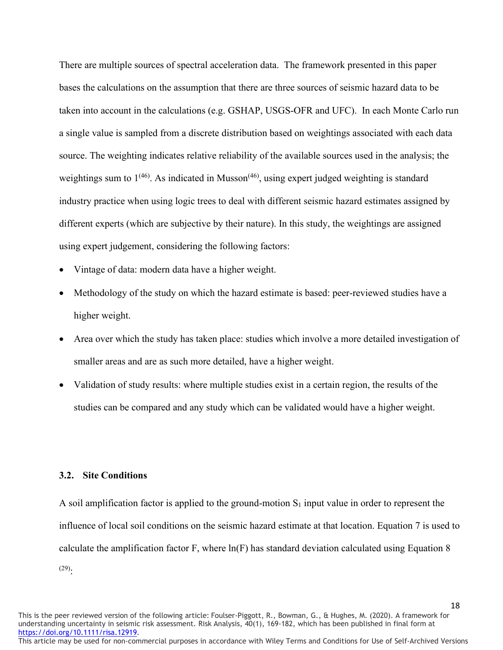There are multiple sources of spectral acceleration data. The framework presented in this paper bases the calculations on the assumption that there are three sources of seismic hazard data to be taken into account in the calculations (e.g. GSHAP, USGS-OFR and UFC). In each Monte Carlo run a single value is sampled from a discrete distribution based on weightings associated with each data source. The weighting indicates relative reliability of the available sources used in the analysis; the weightings sum to  $1^{(46)}$ . As indicated in Musson<sup>(46)</sup>, using expert judged weighting is standard industry practice when using logic trees to deal with different seismic hazard estimates assigned by different experts (which are subjective by their nature). In this study, the weightings are assigned using expert judgement, considering the following factors:

- Vintage of data: modern data have a higher weight.
- Methodology of the study on which the hazard estimate is based: peer-reviewed studies have a higher weight.
- Area over which the study has taken place: studies which involve a more detailed investigation of smaller areas and are as such more detailed, have a higher weight.
- Validation of study results: where multiple studies exist in a certain region, the results of the studies can be compared and any study which can be validated would have a higher weight.

#### **3.2. Site Conditions**

A soil amplification factor is applied to the ground-motion  $S_1$  input value in order to represent the influence of local soil conditions on the seismic hazard estimate at that location. Equation 7 is used to calculate the amplification factor F, where ln(F) has standard deviation calculated using Equation 8  $(29).$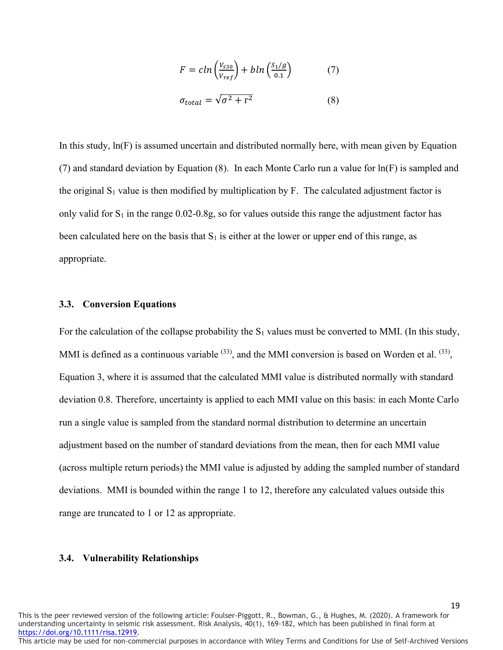$$
F = c \ln \left( \frac{V_{530}}{V_{ref}} \right) + b \ln \left( \frac{S_1/g}{0.1} \right) \tag{7}
$$

$$
\sigma_{total} = \sqrt{\sigma^2 + r^2} \tag{8}
$$

In this study, ln(F) is assumed uncertain and distributed normally here, with mean given by Equation (7) and standard deviation by Equation (8). In each Monte Carlo run a value for ln(F) is sampled and the original  $S_1$  value is then modified by multiplication by F. The calculated adjustment factor is only valid for  $S_1$  in the range 0.02-0.8g, so for values outside this range the adjustment factor has been calculated here on the basis that  $S_1$  is either at the lower or upper end of this range, as appropriate.

#### **3.3. Conversion Equations**

For the calculation of the collapse probability the  $S_1$  values must be converted to MMI. (In this study, MMI is defined as a continuous variable  $(33)$ , and the MMI conversion is based on Worden et al.  $(33)$ , Equation 3, where it is assumed that the calculated MMI value is distributed normally with standard deviation 0.8. Therefore, uncertainty is applied to each MMI value on this basis: in each Monte Carlo run a single value is sampled from the standard normal distribution to determine an uncertain adjustment based on the number of standard deviations from the mean, then for each MMI value (across multiple return periods) the MMI value is adjusted by adding the sampled number of standard deviations. MMI is bounded within the range 1 to 12, therefore any calculated values outside this range are truncated to 1 or 12 as appropriate.

#### **3.4. Vulnerability Relationships**

This is the peer reviewed version of the following article: Foulser-Piggott, R., Bowman, G., & Hughes, M. (2020). A framework for understanding uncertainty in seismic risk assessment. Risk Analysis, 40(1), 169-182, which has been published in final form at [https://doi.org/10.1111/risa.12919.](https://doi.org/10.1111/risa.12919)

This article may be used for non-commercial purposes in accordance with Wiley Terms and Conditions for Use of Self-Archived Versions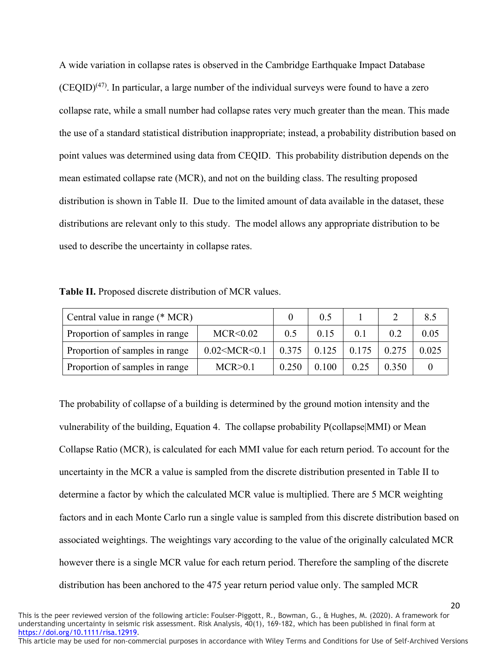A wide variation in collapse rates is observed in the Cambridge Earthquake Impact Database  $(CEQID)^{(47)}$ . In particular, a large number of the individual surveys were found to have a zero collapse rate, while a small number had collapse rates very much greater than the mean. This made the use of a standard statistical distribution inappropriate; instead, a probability distribution based on point values was determined using data from CEQID. This probability distribution depends on the mean estimated collapse rate (MCR), and not on the building class. The resulting proposed distribution is shown in Table II. Due to the limited amount of data available in the dataset, these distributions are relevant only to this study. The model allows any appropriate distribution to be used to describe the uncertainty in collapse rates.

**Table II.** Proposed discrete distribution of MCR values.

| Central value in range (* MCR)                         |         | 0.5   |       |       | 8.5   |       |
|--------------------------------------------------------|---------|-------|-------|-------|-------|-------|
| Proportion of samples in range<br>MCR < 0.02           |         |       | 0.15  | 0.1   | 0.2   | 0.05  |
| $0.02$ < MCR < $0.1$<br>Proportion of samples in range |         | 0.375 | 0.125 | 0.175 | 0.275 | 0.025 |
| Proportion of samples in range                         | MCR>0.1 | 0.250 | 0.100 | 0.25  | 0.350 |       |

The probability of collapse of a building is determined by the ground motion intensity and the vulnerability of the building, Equation 4. The collapse probability P(collapse|MMI) or Mean Collapse Ratio (MCR), is calculated for each MMI value for each return period. To account for the uncertainty in the MCR a value is sampled from the discrete distribution presented in Table II to determine a factor by which the calculated MCR value is multiplied. There are 5 MCR weighting factors and in each Monte Carlo run a single value is sampled from this discrete distribution based on associated weightings. The weightings vary according to the value of the originally calculated MCR however there is a single MCR value for each return period. Therefore the sampling of the discrete distribution has been anchored to the 475 year return period value only. The sampled MCR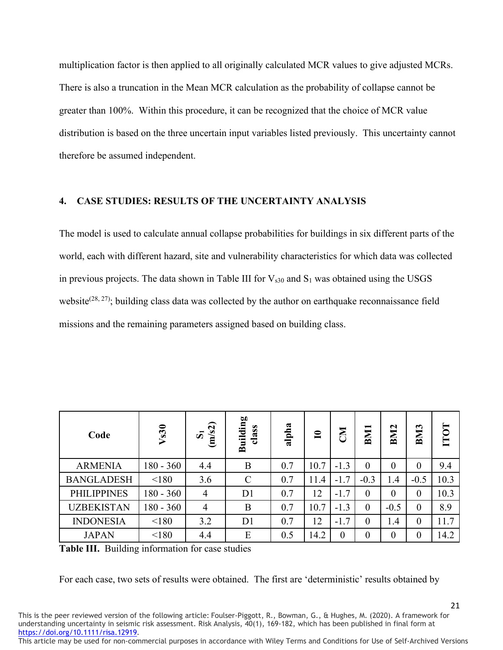multiplication factor is then applied to all originally calculated MCR values to give adjusted MCRs. There is also a truncation in the Mean MCR calculation as the probability of collapse cannot be greater than 100%. Within this procedure, it can be recognized that the choice of MCR value distribution is based on the three uncertain input variables listed previously. This uncertainty cannot therefore be assumed independent.

### **4. CASE STUDIES: RESULTS OF THE UNCERTAINTY ANALYSIS**

The model is used to calculate annual collapse probabilities for buildings in six different parts of the world, each with different hazard, site and vulnerability characteristics for which data was collected in previous projects. The data shown in Table III for  $V_{s30}$  and  $S_1$  was obtained using the USGS website<sup> $(28, 27)$ </sup>; building class data was collected by the author on earthquake reconnaissance field missions and the remaining parameters assigned based on building class.

| Code               | V <sub>s30</sub> | (m/s2)<br>ÖΪ   | <b>Building</b><br>class | alpha | $\mathbf{r}$ | END      | <b>BM1</b>     | BM <sub>2</sub> | BM <sub>3</sub> | TOT  |
|--------------------|------------------|----------------|--------------------------|-------|--------------|----------|----------------|-----------------|-----------------|------|
| <b>ARMENIA</b>     | 180 - 360        | 4.4            | B                        | 0.7   | 10.7         | $-1.3$   | $\overline{0}$ | $\overline{0}$  | $\overline{0}$  | 9.4  |
| <b>BANGLADESH</b>  | < 180            | 3.6            | $\mathcal{C}$            | 0.7   | 11.4         | $-1.7$   | $-0.3$         | 1.4             | $-0.5$          | 10.3 |
| <b>PHILIPPINES</b> | $180 - 360$      | $\overline{4}$ | D <sub>1</sub>           | 0.7   | 12           | $-1.7$   | $\theta$       | $\overline{0}$  | $\theta$        | 10.3 |
| <b>UZBEKISTAN</b>  | 180 - 360        | $\overline{4}$ | B                        | 0.7   | 10.7         | $-1.3$   | $\theta$       | $-0.5$          | $\overline{0}$  | 8.9  |
| <b>INDONESIA</b>   | < 180            | 3.2            | D <sub>1</sub>           | 0.7   | 12           | $-1.7$   | $\overline{0}$ | 1.4             | $\overline{0}$  | 11.7 |
| <b>JAPAN</b>       | < 180            | 4.4            | E                        | 0.5   | 14.2         | $\theta$ | $\overline{0}$ | $\theta$        | $\theta$        | 14.2 |

**Table III.** Building information for case studies

For each case, two sets of results were obtained. The first are 'deterministic' results obtained by

This is the peer reviewed version of the following article: Foulser-Piggott, R., Bowman, G., & Hughes, M. (2020). A framework for understanding uncertainty in seismic risk assessment. Risk Analysis, 40(1), 169-182, which has been published in final form at [https://doi.org/10.1111/risa.12919.](https://doi.org/10.1111/risa.12919)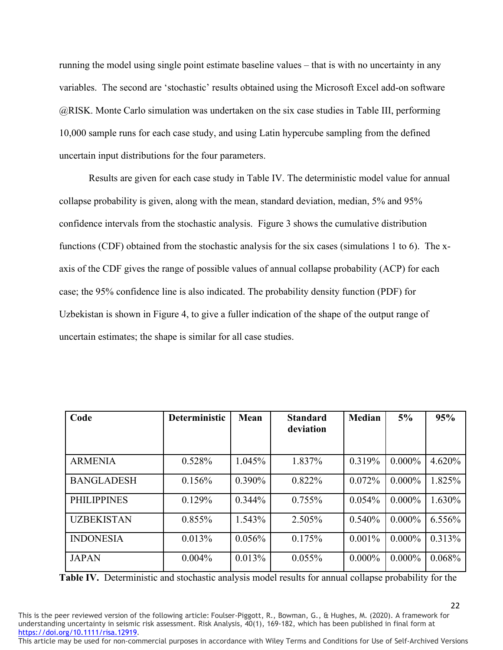running the model using single point estimate baseline values – that is with no uncertainty in any variables. The second are 'stochastic' results obtained using the Microsoft Excel add-on software @RISK. Monte Carlo simulation was undertaken on the six case studies in Table III, performing 10,000 sample runs for each case study, and using Latin hypercube sampling from the defined uncertain input distributions for the four parameters.

Results are given for each case study in Table IV. The deterministic model value for annual collapse probability is given, along with the mean, standard deviation, median, 5% and 95% confidence intervals from the stochastic analysis. Figure 3 shows the cumulative distribution functions (CDF) obtained from the stochastic analysis for the six cases (simulations 1 to 6). The xaxis of the CDF gives the range of possible values of annual collapse probability (ACP) for each case; the 95% confidence line is also indicated. The probability density function (PDF) for Uzbekistan is shown in Figure 4, to give a fuller indication of the shape of the output range of uncertain estimates; the shape is similar for all case studies.

| Code               | <b>Deterministic</b> | Mean      | <b>Standard</b><br>deviation | <b>Median</b> | 5%        | 95%    |
|--------------------|----------------------|-----------|------------------------------|---------------|-----------|--------|
|                    |                      |           |                              |               |           |        |
| <b>ARMENIA</b>     | 0.528%               | 1.045%    | 1.837%                       | 0.319%        | $0.000\%$ | 4.620% |
| <b>BANGLADESH</b>  | 0.156%               | $0.390\%$ | 0.822%                       | 0.072%        | $0.000\%$ | 1.825% |
| <b>PHILIPPINES</b> | 0.129%               | $0.344\%$ | 0.755%                       | 0.054%        | $0.000\%$ | 1.630% |
| <b>UZBEKISTAN</b>  | 0.855%               | 1.543%    | 2.505%                       | 0.540%        | $0.000\%$ | 6.556% |
| <b>INDONESIA</b>   | 0.013%               | 0.056%    | 0.175%                       | 0.001%        | $0.000\%$ | 0.313% |
| <b>JAPAN</b>       | 0.004%               | 0.013%    | 0.055%                       | $0.000\%$     | $0.000\%$ | 0.068% |

**Table IV.** Deterministic and stochastic analysis model results for annual collapse probability for the

This is the peer reviewed version of the following article: Foulser-Piggott, R., Bowman, G., & Hughes, M. (2020). A framework for understanding uncertainty in seismic risk assessment. Risk Analysis, 40(1), 169-182, which has been published in final form at [https://doi.org/10.1111/risa.12919.](https://doi.org/10.1111/risa.12919)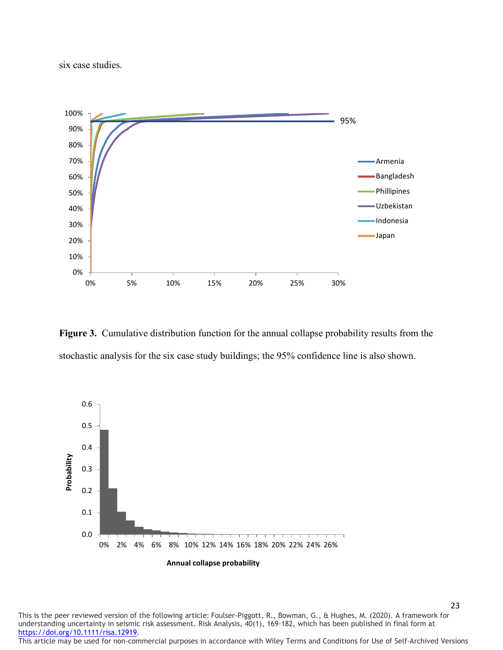six case studies.



**Figure 3.** Cumulative distribution function for the annual collapse probability results from the stochastic analysis for the six case study buildings; the 95% confidence line is also shown.



This is the peer reviewed version of the following article: Foulser-Piggott, R., Bowman, G., & Hughes, M. (2020). A framework for understanding uncertainty in seismic risk assessment. Risk Analysis, 40(1), 169-182, which has been published in final form at [https://doi.org/10.1111/risa.12919.](https://doi.org/10.1111/risa.12919)

This article may be used for non-commercial purposes in accordance with Wiley Terms and Conditions for Use of Self-Archived Versions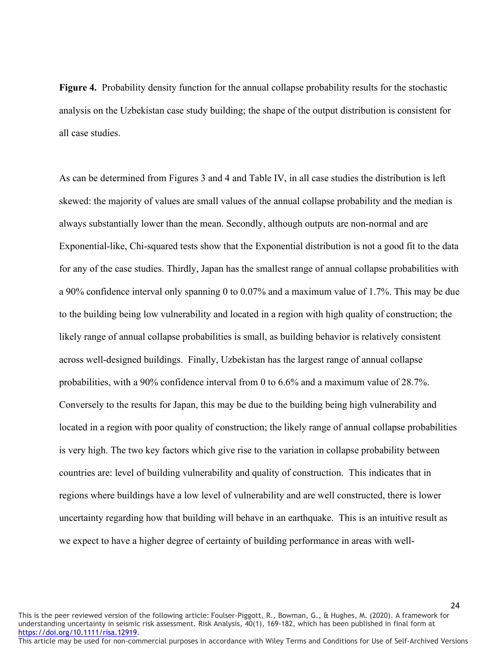**Figure 4.** Probability density function for the annual collapse probability results for the stochastic analysis on the Uzbekistan case study building; the shape of the output distribution is consistent for all case studies.

As can be determined from Figures 3 and 4 and Table IV, in all case studies the distribution is left skewed: the majority of values are small values of the annual collapse probability and the median is always substantially lower than the mean. Secondly, although outputs are non-normal and are Exponential-like, Chi-squared tests show that the Exponential distribution is not a good fit to the data for any of the case studies. Thirdly, Japan has the smallest range of annual collapse probabilities with a 90% confidence interval only spanning 0 to 0.07% and a maximum value of 1.7%. This may be due to the building being low vulnerability and located in a region with high quality of construction; the likely range of annual collapse probabilities is small, as building behavior is relatively consistent across well-designed buildings. Finally, Uzbekistan has the largest range of annual collapse probabilities, with a 90% confidence interval from 0 to 6.6% and a maximum value of 28.7%. Conversely to the results for Japan, this may be due to the building being high vulnerability and located in a region with poor quality of construction; the likely range of annual collapse probabilities is very high. The two key factors which give rise to the variation in collapse probability between countries are: level of building vulnerability and quality of construction. This indicates that in regions where buildings have a low level of vulnerability and are well constructed, there is lower uncertainty regarding how that building will behave in an earthquake. This is an intuitive result as we expect to have a higher degree of certainty of building performance in areas with well-

This is the peer reviewed version of the following article: Foulser-Piggott, R., Bowman, G., & Hughes, M. (2020). A framework for understanding uncertainty in seismic risk assessment. Risk Analysis, 40(1), 169-182, which has been published in final form at [https://doi.org/10.1111/risa.12919.](https://doi.org/10.1111/risa.12919)

This article may be used for non-commercial purposes in accordance with Wiley Terms and Conditions for Use of Self-Archived Versions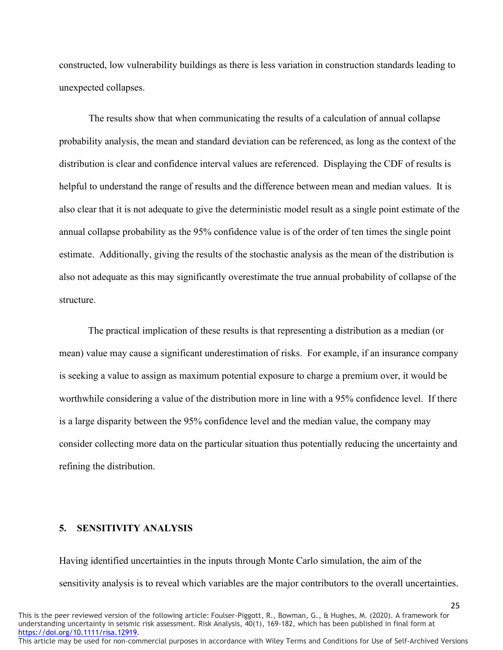constructed, low vulnerability buildings as there is less variation in construction standards leading to unexpected collapses.

The results show that when communicating the results of a calculation of annual collapse probability analysis, the mean and standard deviation can be referenced, as long as the context of the distribution is clear and confidence interval values are referenced. Displaying the CDF of results is helpful to understand the range of results and the difference between mean and median values. It is also clear that it is not adequate to give the deterministic model result as a single point estimate of the annual collapse probability as the 95% confidence value is of the order of ten times the single point estimate. Additionally, giving the results of the stochastic analysis as the mean of the distribution is also not adequate as this may significantly overestimate the true annual probability of collapse of the structure.

The practical implication of these results is that representing a distribution as a median (or mean) value may cause a significant underestimation of risks. For example, if an insurance company is seeking a value to assign as maximum potential exposure to charge a premium over, it would be worthwhile considering a value of the distribution more in line with a 95% confidence level. If there is a large disparity between the 95% confidence level and the median value, the company may consider collecting more data on the particular situation thus potentially reducing the uncertainty and refining the distribution.

# **5. SENSITIVITY ANALYSIS**

Having identified uncertainties in the inputs through Monte Carlo simulation, the aim of the sensitivity analysis is to reveal which variables are the major contributors to the overall uncertainties.

25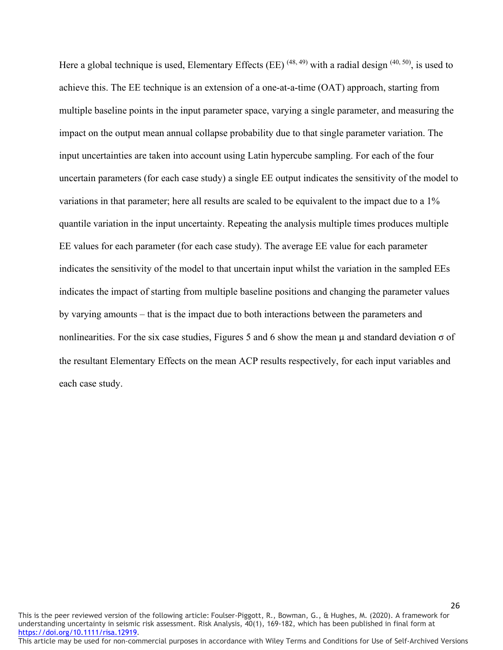Here a global technique is used, Elementary Effects (EE)  $(48, 49)$  with a radial design  $(40, 50)$ , is used to achieve this. The EE technique is an extension of a one-at-a-time (OAT) approach, starting from multiple baseline points in the input parameter space, varying a single parameter, and measuring the impact on the output mean annual collapse probability due to that single parameter variation. The input uncertainties are taken into account using Latin hypercube sampling. For each of the four uncertain parameters (for each case study) a single EE output indicates the sensitivity of the model to variations in that parameter; here all results are scaled to be equivalent to the impact due to a 1% quantile variation in the input uncertainty. Repeating the analysis multiple times produces multiple EE values for each parameter (for each case study). The average EE value for each parameter indicates the sensitivity of the model to that uncertain input whilst the variation in the sampled EEs indicates the impact of starting from multiple baseline positions and changing the parameter values by varying amounts – that is the impact due to both interactions between the parameters and nonlinearities. For the six case studies, Figures 5 and 6 show the mean  $\mu$  and standard deviation  $\sigma$  of the resultant Elementary Effects on the mean ACP results respectively, for each input variables and each case study.

This is the peer reviewed version of the following article: Foulser-Piggott, R., Bowman, G., & Hughes, M. (2020). A framework for understanding uncertainty in seismic risk assessment. Risk Analysis, 40(1), 169-182, which has been published in final form at [https://doi.org/10.1111/risa.12919.](https://doi.org/10.1111/risa.12919) This article may be used for non-commercial purposes in accordance with Wiley Terms and Conditions for Use of Self-Archived Versions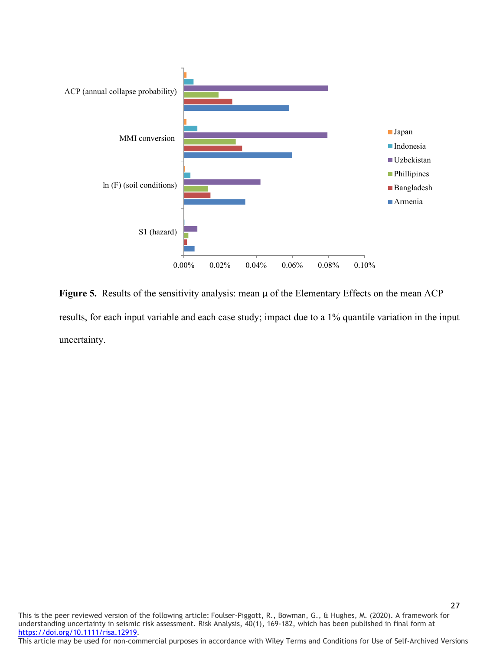

**Figure 5.** Results of the sensitivity analysis: mean μ of the Elementary Effects on the mean ACP results, for each input variable and each case study; impact due to a 1% quantile variation in the input uncertainty.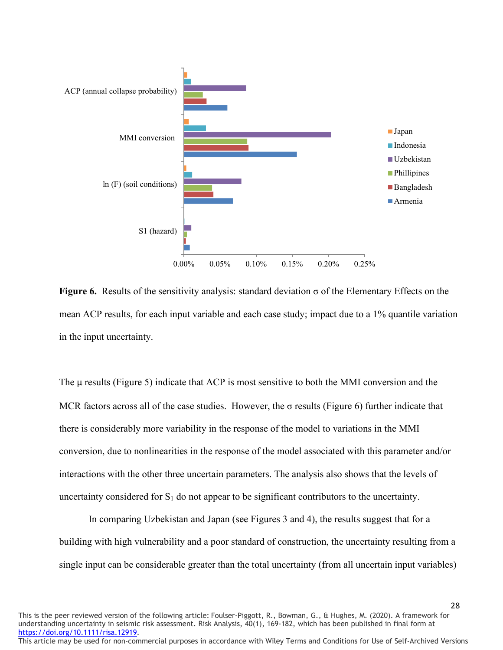

**Figure 6.** Results of the sensitivity analysis: standard deviation  $\sigma$  of the Elementary Effects on the mean ACP results, for each input variable and each case study; impact due to a 1% quantile variation in the input uncertainty.

The μ results (Figure 5) indicate that ACP is most sensitive to both the MMI conversion and the MCR factors across all of the case studies. However, the σ results (Figure 6) further indicate that there is considerably more variability in the response of the model to variations in the MMI conversion, due to nonlinearities in the response of the model associated with this parameter and/or interactions with the other three uncertain parameters. The analysis also shows that the levels of uncertainty considered for  $S_1$  do not appear to be significant contributors to the uncertainty.

In comparing Uzbekistan and Japan (see Figures 3 and 4), the results suggest that for a building with high vulnerability and a poor standard of construction, the uncertainty resulting from a single input can be considerable greater than the total uncertainty (from all uncertain input variables)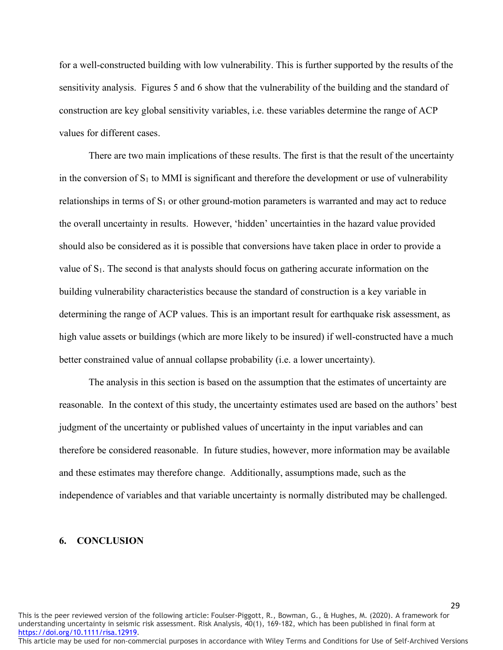for a well-constructed building with low vulnerability. This is further supported by the results of the sensitivity analysis. Figures 5 and 6 show that the vulnerability of the building and the standard of construction are key global sensitivity variables, i.e. these variables determine the range of ACP values for different cases.

There are two main implications of these results. The first is that the result of the uncertainty in the conversion of  $S_1$  to MMI is significant and therefore the development or use of vulnerability relationships in terms of  $S_1$  or other ground-motion parameters is warranted and may act to reduce the overall uncertainty in results. However, 'hidden' uncertainties in the hazard value provided should also be considered as it is possible that conversions have taken place in order to provide a value of  $S_1$ . The second is that analysts should focus on gathering accurate information on the building vulnerability characteristics because the standard of construction is a key variable in determining the range of ACP values. This is an important result for earthquake risk assessment, as high value assets or buildings (which are more likely to be insured) if well-constructed have a much better constrained value of annual collapse probability (i.e. a lower uncertainty).

The analysis in this section is based on the assumption that the estimates of uncertainty are reasonable. In the context of this study, the uncertainty estimates used are based on the authors' best judgment of the uncertainty or published values of uncertainty in the input variables and can therefore be considered reasonable. In future studies, however, more information may be available and these estimates may therefore change. Additionally, assumptions made, such as the independence of variables and that variable uncertainty is normally distributed may be challenged.

### **6. CONCLUSION**

This is the peer reviewed version of the following article: Foulser-Piggott, R., Bowman, G., & Hughes, M. (2020). A framework for understanding uncertainty in seismic risk assessment. Risk Analysis, 40(1), 169-182, which has been published in final form at [https://doi.org/10.1111/risa.12919.](https://doi.org/10.1111/risa.12919)

This article may be used for non-commercial purposes in accordance with Wiley Terms and Conditions for Use of Self-Archived Versions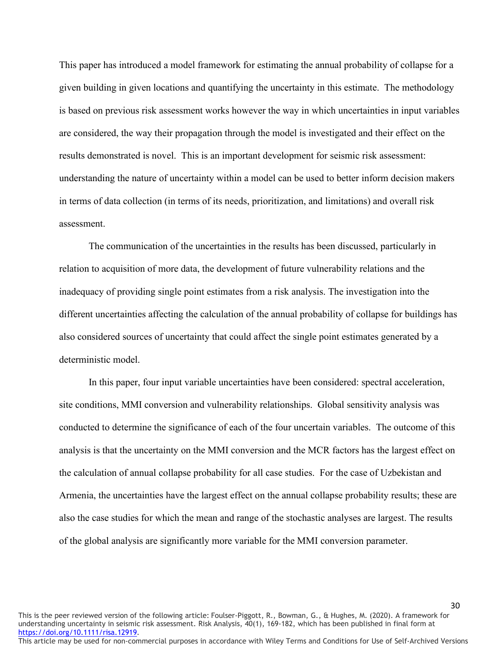This paper has introduced a model framework for estimating the annual probability of collapse for a given building in given locations and quantifying the uncertainty in this estimate. The methodology is based on previous risk assessment works however the way in which uncertainties in input variables are considered, the way their propagation through the model is investigated and their effect on the results demonstrated is novel. This is an important development for seismic risk assessment: understanding the nature of uncertainty within a model can be used to better inform decision makers in terms of data collection (in terms of its needs, prioritization, and limitations) and overall risk assessment.

The communication of the uncertainties in the results has been discussed, particularly in relation to acquisition of more data, the development of future vulnerability relations and the inadequacy of providing single point estimates from a risk analysis. The investigation into the different uncertainties affecting the calculation of the annual probability of collapse for buildings has also considered sources of uncertainty that could affect the single point estimates generated by a deterministic model.

In this paper, four input variable uncertainties have been considered: spectral acceleration, site conditions, MMI conversion and vulnerability relationships. Global sensitivity analysis was conducted to determine the significance of each of the four uncertain variables. The outcome of this analysis is that the uncertainty on the MMI conversion and the MCR factors has the largest effect on the calculation of annual collapse probability for all case studies. For the case of Uzbekistan and Armenia, the uncertainties have the largest effect on the annual collapse probability results; these are also the case studies for which the mean and range of the stochastic analyses are largest. The results of the global analysis are significantly more variable for the MMI conversion parameter.

This is the peer reviewed version of the following article: Foulser-Piggott, R., Bowman, G., & Hughes, M. (2020). A framework for understanding uncertainty in seismic risk assessment. Risk Analysis, 40(1), 169-182, which has been published in final form at [https://doi.org/10.1111/risa.12919.](https://doi.org/10.1111/risa.12919)

This article may be used for non-commercial purposes in accordance with Wiley Terms and Conditions for Use of Self-Archived Versions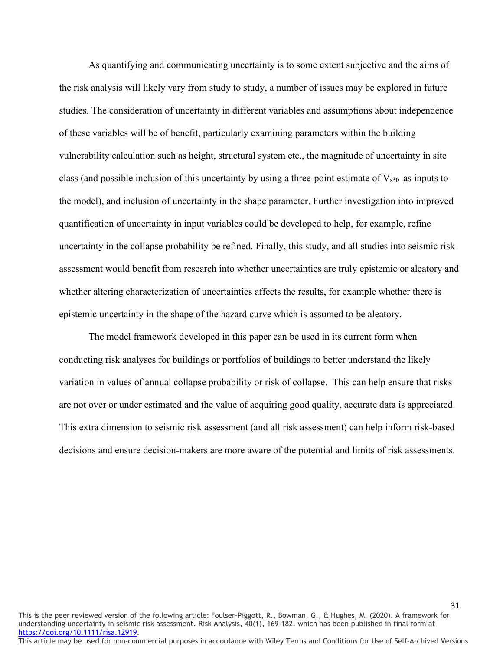As quantifying and communicating uncertainty is to some extent subjective and the aims of the risk analysis will likely vary from study to study, a number of issues may be explored in future studies. The consideration of uncertainty in different variables and assumptions about independence of these variables will be of benefit, particularly examining parameters within the building vulnerability calculation such as height, structural system etc., the magnitude of uncertainty in site class (and possible inclusion of this uncertainty by using a three-point estimate of  $V_{s30}$  as inputs to the model), and inclusion of uncertainty in the shape parameter. Further investigation into improved quantification of uncertainty in input variables could be developed to help, for example, refine uncertainty in the collapse probability be refined. Finally, this study, and all studies into seismic risk assessment would benefit from research into whether uncertainties are truly epistemic or aleatory and whether altering characterization of uncertainties affects the results, for example whether there is epistemic uncertainty in the shape of the hazard curve which is assumed to be aleatory.

The model framework developed in this paper can be used in its current form when conducting risk analyses for buildings or portfolios of buildings to better understand the likely variation in values of annual collapse probability or risk of collapse. This can help ensure that risks are not over or under estimated and the value of acquiring good quality, accurate data is appreciated. This extra dimension to seismic risk assessment (and all risk assessment) can help inform risk-based decisions and ensure decision-makers are more aware of the potential and limits of risk assessments.

This is the peer reviewed version of the following article: Foulser-Piggott, R., Bowman, G., & Hughes, M. (2020). A framework for understanding uncertainty in seismic risk assessment. Risk Analysis, 40(1), 169-182, which has been published in final form at [https://doi.org/10.1111/risa.12919.](https://doi.org/10.1111/risa.12919) This article may be used for non-commercial purposes in accordance with Wiley Terms and Conditions for Use of Self-Archived Versions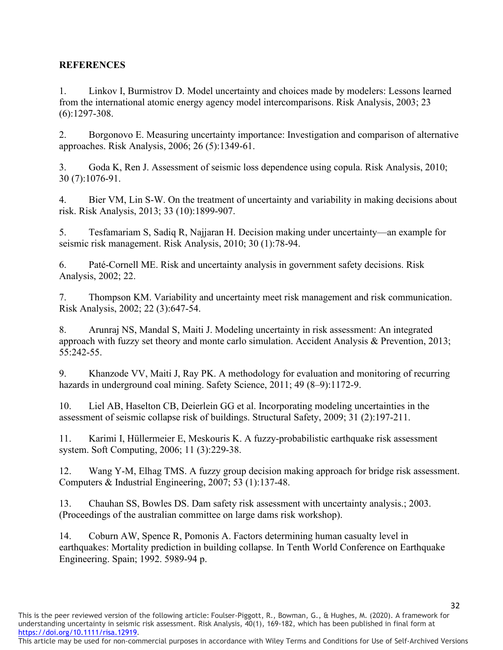# **REFERENCES**

1. Linkov I, Burmistrov D. Model uncertainty and choices made by modelers: Lessons learned from the international atomic energy agency model intercomparisons. Risk Analysis, 2003; 23 (6):1297-308.

2. Borgonovo E. Measuring uncertainty importance: Investigation and comparison of alternative approaches. Risk Analysis, 2006; 26 (5):1349-61.

3. Goda K, Ren J. Assessment of seismic loss dependence using copula. Risk Analysis, 2010; 30 (7):1076-91.

4. Bier VM, Lin S-W. On the treatment of uncertainty and variability in making decisions about risk. Risk Analysis, 2013; 33 (10):1899-907.

5. Tesfamariam S, Sadiq R, Najjaran H. Decision making under uncertainty—an example for seismic risk management. Risk Analysis, 2010; 30 (1):78-94.

6. Paté-Cornell ME. Risk and uncertainty analysis in government safety decisions. Risk Analysis, 2002; 22.

7. Thompson KM. Variability and uncertainty meet risk management and risk communication. Risk Analysis, 2002; 22 (3):647-54.

8. Arunraj NS, Mandal S, Maiti J. Modeling uncertainty in risk assessment: An integrated approach with fuzzy set theory and monte carlo simulation. Accident Analysis & Prevention, 2013; 55:242-55.

9. Khanzode VV, Maiti J, Ray PK. A methodology for evaluation and monitoring of recurring hazards in underground coal mining. Safety Science, 2011; 49 (8–9):1172-9.

10. Liel AB, Haselton CB, Deierlein GG et al. Incorporating modeling uncertainties in the assessment of seismic collapse risk of buildings. Structural Safety, 2009; 31 (2):197-211.

11. Karimi I, Hüllermeier E, Meskouris K. A fuzzy-probabilistic earthquake risk assessment system. Soft Computing, 2006; 11 (3):229-38.

12. Wang Y-M, Elhag TMS. A fuzzy group decision making approach for bridge risk assessment. Computers & Industrial Engineering, 2007; 53 (1):137-48.

13. Chauhan SS, Bowles DS. Dam safety risk assessment with uncertainty analysis.; 2003. (Proceedings of the australian committee on large dams risk workshop).

14. Coburn AW, Spence R, Pomonis A. Factors determining human casualty level in earthquakes: Mortality prediction in building collapse. In Tenth World Conference on Earthquake Engineering. Spain; 1992. 5989-94 p.

This is the peer reviewed version of the following article: Foulser-Piggott, R., Bowman, G., & Hughes, M. (2020). A framework for understanding uncertainty in seismic risk assessment. Risk Analysis, 40(1), 169-182, which has been published in final form at [https://doi.org/10.1111/risa.12919.](https://doi.org/10.1111/risa.12919)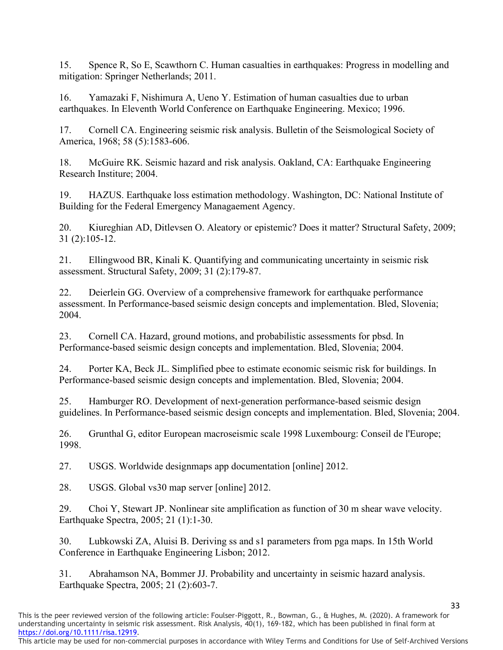15. Spence R, So E, Scawthorn C. Human casualties in earthquakes: Progress in modelling and mitigation: Springer Netherlands; 2011.

16. Yamazaki F, Nishimura A, Ueno Y. Estimation of human casualties due to urban earthquakes. In Eleventh World Conference on Earthquake Engineering. Mexico; 1996.

17. Cornell CA. Engineering seismic risk analysis. Bulletin of the Seismological Society of America, 1968; 58 (5):1583-606.

18. McGuire RK. Seismic hazard and risk analysis. Oakland, CA: Earthquake Engineering Research Institure; 2004.

19. HAZUS. Earthquake loss estimation methodology. Washington, DC: National Institute of Building for the Federal Emergency Managaement Agency.

20. Kiureghian AD, Ditlevsen O. Aleatory or epistemic? Does it matter? Structural Safety, 2009; 31 (2):105-12.

21. Ellingwood BR, Kinali K. Quantifying and communicating uncertainty in seismic risk assessment. Structural Safety, 2009; 31 (2):179-87.

22. Deierlein GG. Overview of a comprehensive framework for earthquake performance assessment. In Performance-based seismic design concepts and implementation. Bled, Slovenia; 2004.

23. Cornell CA. Hazard, ground motions, and probabilistic assessments for pbsd. In Performance-based seismic design concepts and implementation. Bled, Slovenia; 2004.

24. Porter KA, Beck JL. Simplified pbee to estimate economic seismic risk for buildings. In Performance-based seismic design concepts and implementation. Bled, Slovenia; 2004.

25. Hamburger RO. Development of next-generation performance-based seismic design guidelines. In Performance-based seismic design concepts and implementation. Bled, Slovenia; 2004.

26. Grunthal G, editor European macroseismic scale 1998 Luxembourg: Conseil de l'Europe; 1998.

27. USGS. Worldwide designmaps app documentation [online] 2012.

28. USGS. Global vs30 map server [online] 2012.

29. Choi Y, Stewart JP. Nonlinear site amplification as function of 30 m shear wave velocity. Earthquake Spectra, 2005; 21 (1):1-30.

30. Lubkowski ZA, Aluisi B. Deriving ss and s1 parameters from pga maps. In 15th World Conference in Earthquake Engineering Lisbon; 2012.

31. Abrahamson NA, Bommer JJ. Probability and uncertainty in seismic hazard analysis. Earthquake Spectra, 2005; 21 (2):603-7.

This is the peer reviewed version of the following article: Foulser-Piggott, R., Bowman, G., & Hughes, M. (2020). A framework for understanding uncertainty in seismic risk assessment. Risk Analysis, 40(1), 169-182, which has been published in final form at [https://doi.org/10.1111/risa.12919.](https://doi.org/10.1111/risa.12919)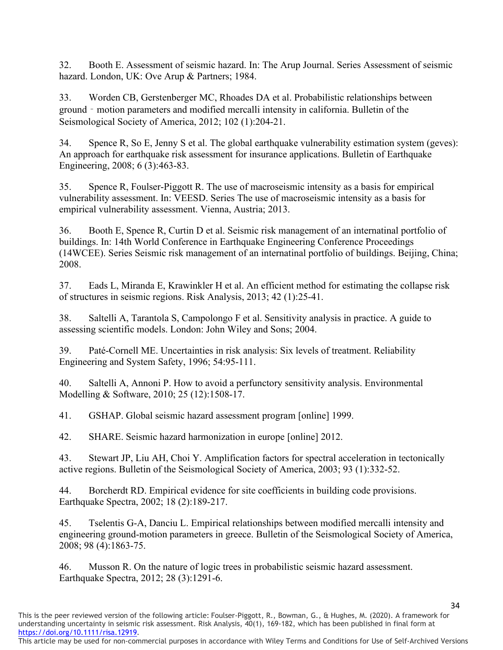32. Booth E. Assessment of seismic hazard. In: The Arup Journal. Series Assessment of seismic hazard. London, UK: Ove Arup & Partners; 1984.

33. Worden CB, Gerstenberger MC, Rhoades DA et al. Probabilistic relationships between ground‐motion parameters and modified mercalli intensity in california. Bulletin of the Seismological Society of America, 2012; 102 (1):204-21.

34. Spence R, So E, Jenny S et al. The global earthquake vulnerability estimation system (geves): An approach for earthquake risk assessment for insurance applications. Bulletin of Earthquake Engineering, 2008; 6 (3):463-83.

35. Spence R, Foulser-Piggott R. The use of macroseismic intensity as a basis for empirical vulnerability assessment. In: VEESD. Series The use of macroseismic intensity as a basis for empirical vulnerability assessment. Vienna, Austria; 2013.

36. Booth E, Spence R, Curtin D et al. Seismic risk management of an internatinal portfolio of buildings. In: 14th World Conference in Earthquake Engineering Conference Proceedings (14WCEE). Series Seismic risk management of an internatinal portfolio of buildings. Beijing, China; 2008.

37. Eads L, Miranda E, Krawinkler H et al. An efficient method for estimating the collapse risk of structures in seismic regions. Risk Analysis, 2013; 42 (1):25-41.

38. Saltelli A, Tarantola S, Campolongo F et al. Sensitivity analysis in practice. A guide to assessing scientific models. London: John Wiley and Sons; 2004.

39. Paté-Cornell ME. Uncertainties in risk analysis: Six levels of treatment. Reliability Engineering and System Safety, 1996; 54:95-111.

40. Saltelli A, Annoni P. How to avoid a perfunctory sensitivity analysis. Environmental Modelling & Software, 2010; 25 (12):1508-17.

41. GSHAP. Global seismic hazard assessment program [online] 1999.

42. SHARE. Seismic hazard harmonization in europe [online] 2012.

43. Stewart JP, Liu AH, Choi Y. Amplification factors for spectral acceleration in tectonically active regions. Bulletin of the Seismological Society of America, 2003; 93 (1):332-52.

44. Borcherdt RD. Empirical evidence for site coefficients in building code provisions. Earthquake Spectra, 2002; 18 (2):189-217.

45. Tselentis G-A, Danciu L. Empirical relationships between modified mercalli intensity and engineering ground-motion parameters in greece. Bulletin of the Seismological Society of America, 2008; 98 (4):1863-75.

46. Musson R. On the nature of logic trees in probabilistic seismic hazard assessment. Earthquake Spectra, 2012; 28 (3):1291-6.

This is the peer reviewed version of the following article: Foulser-Piggott, R., Bowman, G., & Hughes, M. (2020). A framework for understanding uncertainty in seismic risk assessment. Risk Analysis, 40(1), 169-182, which has been published in final form at [https://doi.org/10.1111/risa.12919.](https://doi.org/10.1111/risa.12919)